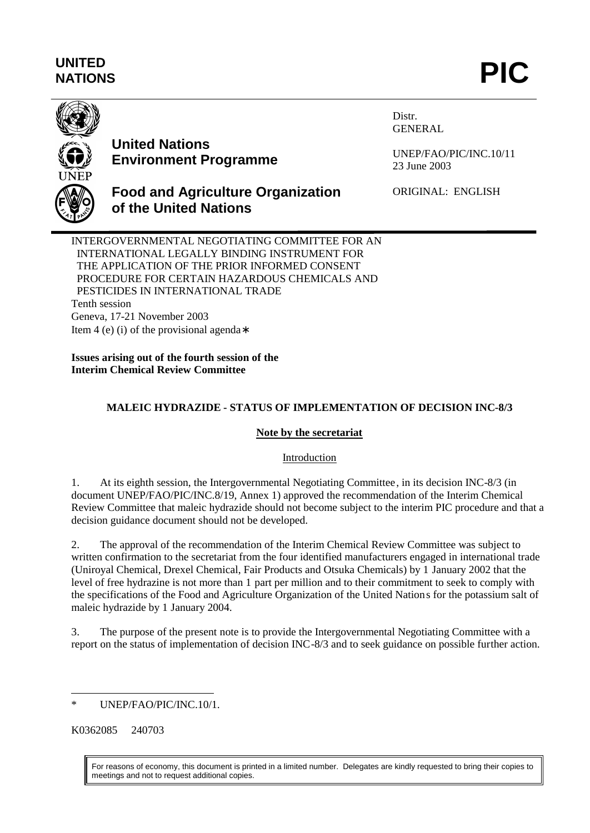# **UNITED** UNITED<br>NATIONS **PIC**



# **United Nations Environment Programme**

Distr. GENERAL

UNEP/FAO/PIC/INC.10/11 23 June 2003

**Food and Agriculture Organization of the United Nations**

ORIGINAL: ENGLISH

INTERGOVERNMENTAL NEGOTIATING COMMITTEE FOR AN INTERNATIONAL LEGALLY BINDING INSTRUMENT FOR THE APPLICATION OF THE PRIOR INFORMED CONSENT PROCEDURE FOR CERTAIN HAZARDOUS CHEMICALS AND PESTICIDES IN INTERNATIONAL TRADE Tenth session Geneva, 17-21 November 2003 Item 4 (e) (i) of the provisional agenda∗

**Issues arising out of the fourth session of the Interim Chemical Review Committee**

## **MALEIC HYDRAZIDE - STATUS OF IMPLEMENTATION OF DECISION INC-8/3**

## **Note by the secretariat**

## Introduction

1. At its eighth session, the Intergovernmental Negotiating Committee, in its decision INC-8/3 (in document UNEP/FAO/PIC/INC.8/19, Annex 1) approved the recommendation of the Interim Chemical Review Committee that maleic hydrazide should not become subject to the interim PIC procedure and that a decision guidance document should not be developed.

2. The approval of the recommendation of the Interim Chemical Review Committee was subject to written confirmation to the secretariat from the four identified manufacturers engaged in international trade (Uniroyal Chemical, Drexel Chemical, Fair Products and Otsuka Chemicals) by 1 January 2002 that the level of free hydrazine is not more than 1 part per million and to their commitment to seek to comply with the specifications of the Food and Agriculture Organization of the United Nations for the potassium salt of maleic hydrazide by 1 January 2004.

3. The purpose of the present note is to provide the Intergovernmental Negotiating Committee with a report on the status of implementation of decision INC-8/3 and to seek guidance on possible further action.

K0362085 240703

For reasons of economy, this document is printed in a limited number. Delegates are kindly requested to bring their copies to meetings and not to request additional copies.

 $\overline{a}$ UNEP/FAO/PIC/INC.10/1.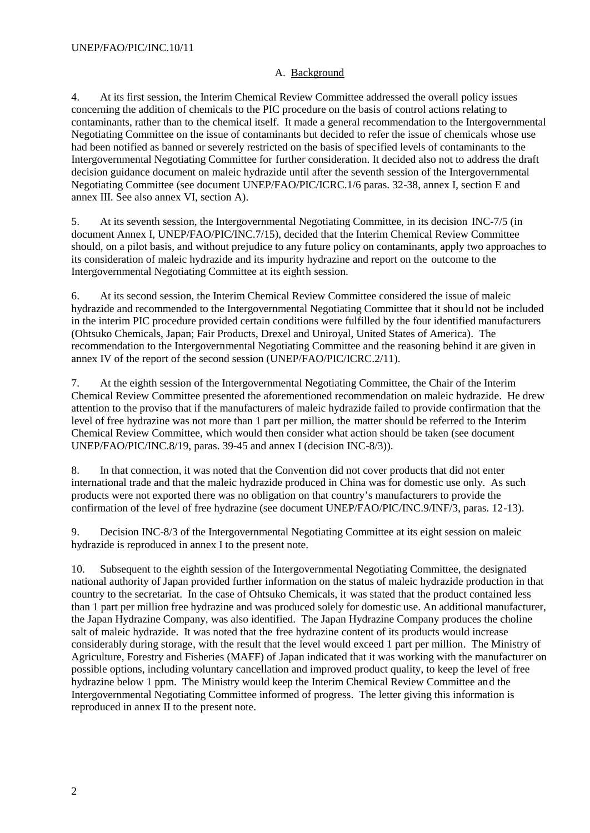### A. Background

4. At its first session, the Interim Chemical Review Committee addressed the overall policy issues concerning the addition of chemicals to the PIC procedure on the basis of control actions relating to contaminants, rather than to the chemical itself. It made a general recommendation to the Intergovernmental Negotiating Committee on the issue of contaminants but decided to refer the issue of chemicals whose use had been notified as banned or severely restricted on the basis of specified levels of contaminants to the Intergovernmental Negotiating Committee for further consideration. It decided also not to address the draft decision guidance document on maleic hydrazide until after the seventh session of the Intergovernmental Negotiating Committee (see document UNEP/FAO/PIC/ICRC.1/6 paras. 32-38, annex I, section E and annex III. See also annex VI, section A).

5. At its seventh session, the Intergovernmental Negotiating Committee, in its decision INC-7/5 (in document Annex I, UNEP/FAO/PIC/INC.7/15), decided that the Interim Chemical Review Committee should, on a pilot basis, and without prejudice to any future policy on contaminants, apply two approaches to its consideration of maleic hydrazide and its impurity hydrazine and report on the outcome to the Intergovernmental Negotiating Committee at its eighth session.

6. At its second session, the Interim Chemical Review Committee considered the issue of maleic hydrazide and recommended to the Intergovernmental Negotiating Committee that it should not be included in the interim PIC procedure provided certain conditions were fulfilled by the four identified manufacturers (Ohtsuko Chemicals, Japan; Fair Products, Drexel and Uniroyal, United States of America). The recommendation to the Intergovernmental Negotiating Committee and the reasoning behind it are given in annex IV of the report of the second session (UNEP/FAO/PIC/ICRC.2/11).

7. At the eighth session of the Intergovernmental Negotiating Committee, the Chair of the Interim Chemical Review Committee presented the aforementioned recommendation on maleic hydrazide. He drew attention to the proviso that if the manufacturers of maleic hydrazide failed to provide confirmation that the level of free hydrazine was not more than 1 part per million, the matter should be referred to the Interim Chemical Review Committee, which would then consider what action should be taken (see document UNEP/FAO/PIC/INC.8/19, paras. 39-45 and annex I (decision INC-8/3)).

8. In that connection, it was noted that the Convention did not cover products that did not enter international trade and that the maleic hydrazide produced in China was for domestic use only. As such products were not exported there was no obligation on that country's manufacturers to provide the confirmation of the level of free hydrazine (see document UNEP/FAO/PIC/INC.9/INF/3, paras. 12-13).

9. Decision INC-8/3 of the Intergovernmental Negotiating Committee at its eight session on maleic hydrazide is reproduced in annex I to the present note.

10. Subsequent to the eighth session of the Intergovernmental Negotiating Committee, the designated national authority of Japan provided further information on the status of maleic hydrazide production in that country to the secretariat. In the case of Ohtsuko Chemicals, it was stated that the product contained less than 1 part per million free hydrazine and was produced solely for domestic use. An additional manufacturer, the Japan Hydrazine Company, was also identified. The Japan Hydrazine Company produces the choline salt of maleic hydrazide. It was noted that the free hydrazine content of its products would increase considerably during storage, with the result that the level would exceed 1 part per million. The Ministry of Agriculture, Forestry and Fisheries (MAFF) of Japan indicated that it was working with the manufacturer on possible options, including voluntary cancellation and improved product quality, to keep the level of free hydrazine below 1 ppm. The Ministry would keep the Interim Chemical Review Committee and the Intergovernmental Negotiating Committee informed of progress. The letter giving this information is reproduced in annex II to the present note.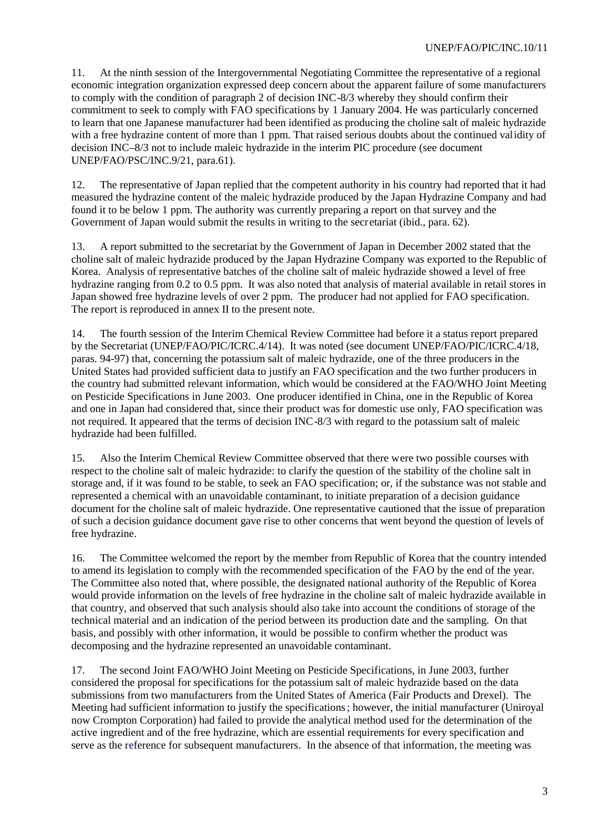11. At the ninth session of the Intergovernmental Negotiating Committee the representative of a regional economic integration organization expressed deep concern about the apparent failure of some manufacturers to comply with the condition of paragraph 2 of decision INC-8/3 whereby they should confirm their commitment to seek to comply with FAO specifications by 1 January 2004. He was particularly concerned to learn that one Japanese manufacturer had been identified as producing the choline salt of maleic hydrazide with a free hydrazine content of more than 1 ppm. That raised serious doubts about the continued validity of decision INC–8/3 not to include maleic hydrazide in the interim PIC procedure (see document UNEP/FAO/PSC/INC.9/21, para.61).

12. The representative of Japan replied that the competent authority in his country had reported that it had measured the hydrazine content of the maleic hydrazide produced by the Japan Hydrazine Company and had found it to be below 1 ppm. The authority was currently preparing a report on that survey and the Government of Japan would submit the results in writing to the secretariat (ibid., para. 62).

13. A report submitted to the secretariat by the Government of Japan in December 2002 stated that the choline salt of maleic hydrazide produced by the Japan Hydrazine Company was exported to the Republic of Korea. Analysis of representative batches of the choline salt of maleic hydrazide showed a level of free hydrazine ranging from 0.2 to 0.5 ppm. It was also noted that analysis of material available in retail stores in Japan showed free hydrazine levels of over 2 ppm. The producer had not applied for FAO specification. The report is reproduced in annex II to the present note.

14. The fourth session of the Interim Chemical Review Committee had before it a status report prepared by the Secretariat (UNEP/FAO/PIC/ICRC.4/14). It was noted (see document UNEP/FAO/PIC/ICRC.4/18, paras. 94-97) that, concerning the potassium salt of maleic hydrazide, one of the three producers in the United States had provided sufficient data to justify an FAO specification and the two further producers in the country had submitted relevant information, which would be considered at the FAO/WHO Joint Meeting on Pesticide Specifications in June 2003. One producer identified in China, one in the Republic of Korea and one in Japan had considered that, since their product was for domestic use only, FAO specification was not required. It appeared that the terms of decision INC-8/3 with regard to the potassium salt of maleic hydrazide had been fulfilled.

15. Also the Interim Chemical Review Committee observed that there were two possible courses with respect to the choline salt of maleic hydrazide: to clarify the question of the stability of the choline salt in storage and, if it was found to be stable, to seek an FAO specification; or, if the substance was not stable and represented a chemical with an unavoidable contaminant, to initiate preparation of a decision guidance document for the choline salt of maleic hydrazide. One representative cautioned that the issue of preparation of such a decision guidance document gave rise to other concerns that went beyond the question of levels of free hydrazine.

16. The Committee welcomed the report by the member from Republic of Korea that the country intended to amend its legislation to comply with the recommended specification of the FAO by the end of the year. The Committee also noted that, where possible, the designated national authority of the Republic of Korea would provide information on the levels of free hydrazine in the choline salt of maleic hydrazide available in that country, and observed that such analysis should also take into account the conditions of storage of the technical material and an indication of the period between its production date and the sampling. On that basis, and possibly with other information, it would be possible to confirm whether the product was decomposing and the hydrazine represented an unavoidable contaminant.

17. The second Joint FAO/WHO Joint Meeting on Pesticide Specifications, in June 2003, further considered the proposal for specifications for the potassium salt of maleic hydrazide based on the data submissions from two manufacturers from the United States of America (Fair Products and Drexel). The Meeting had sufficient information to justify the specifications; however, the initial manufacturer (Uniroyal now Crompton Corporation) had failed to provide the analytical method used for the determination of the active ingredient and of the free hydrazine, which are essential requirements for every specification and serve as the reference for subsequent manufacturers. In the absence of that information, the meeting was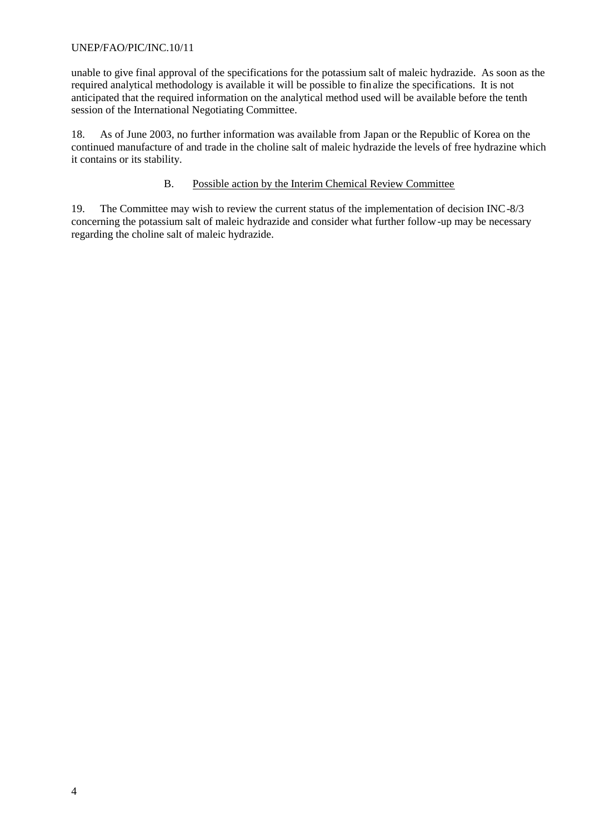#### UNEP/FAO/PIC/INC.10/11

unable to give final approval of the specifications for the potassium salt of maleic hydrazide. As soon as the required analytical methodology is available it will be possible to fin alize the specifications. It is not anticipated that the required information on the analytical method used will be available before the tenth session of the International Negotiating Committee.

18. As of June 2003, no further information was available from Japan or the Republic of Korea on the continued manufacture of and trade in the choline salt of maleic hydrazide the levels of free hydrazine which it contains or its stability.

#### B. Possible action by the Interim Chemical Review Committee

19. The Committee may wish to review the current status of the implementation of decision INC-8/3 concerning the potassium salt of maleic hydrazide and consider what further follow-up may be necessary regarding the choline salt of maleic hydrazide.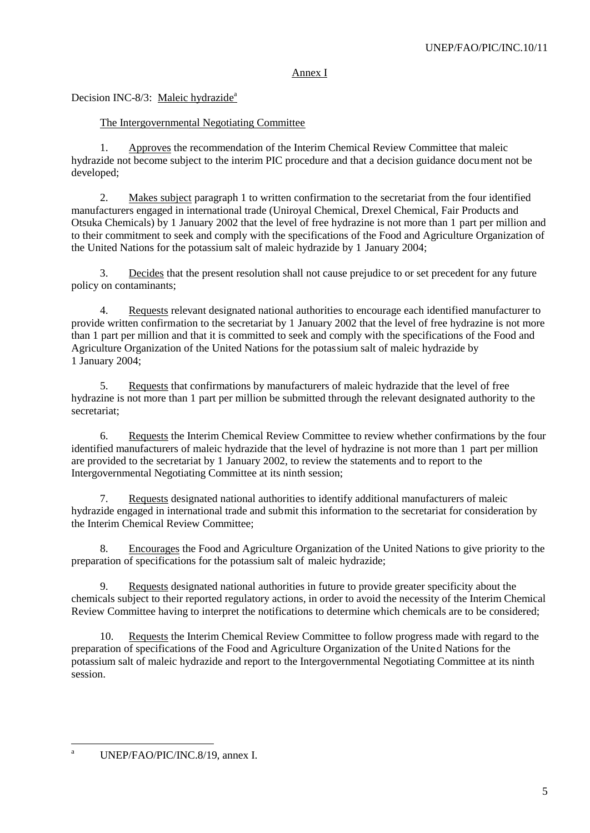#### Annex I

## Decision INC-8/3: Maleic hydrazide<sup>a</sup>

## The Intergovernmental Negotiating Committee

1. Approves the recommendation of the Interim Chemical Review Committee that maleic hydrazide not become subject to the interim PIC procedure and that a decision guidance document not be developed;

2. Makes subject paragraph 1 to written confirmation to the secretariat from the four identified manufacturers engaged in international trade (Uniroyal Chemical, Drexel Chemical, Fair Products and Otsuka Chemicals) by 1 January 2002 that the level of free hydrazine is not more than 1 part per million and to their commitment to seek and comply with the specifications of the Food and Agriculture Organization of the United Nations for the potassium salt of maleic hydrazide by 1 January 2004;

3. Decides that the present resolution shall not cause prejudice to or set precedent for any future policy on contaminants;

4. Requests relevant designated national authorities to encourage each identified manufacturer to provide written confirmation to the secretariat by 1 January 2002 that the level of free hydrazine is not more than 1 part per million and that it is committed to seek and comply with the specifications of the Food and Agriculture Organization of the United Nations for the potassium salt of maleic hydrazide by 1 January 2004;

5. Requests that confirmations by manufacturers of maleic hydrazide that the level of free hydrazine is not more than 1 part per million be submitted through the relevant designated authority to the secretariat;

6. Requests the Interim Chemical Review Committee to review whether confirmations by the four identified manufacturers of maleic hydrazide that the level of hydrazine is not more than 1 part per million are provided to the secretariat by 1 January 2002, to review the statements and to report to the Intergovernmental Negotiating Committee at its ninth session;

7. Requests designated national authorities to identify additional manufacturers of maleic hydrazide engaged in international trade and submit this information to the secretariat for consideration by the Interim Chemical Review Committee;

8. Encourages the Food and Agriculture Organization of the United Nations to give priority to the preparation of specifications for the potassium salt of maleic hydrazide;

9. Requests designated national authorities in future to provide greater specificity about the chemicals subject to their reported regulatory actions, in order to avoid the necessity of the Interim Chemical Review Committee having to interpret the notifications to determine which chemicals are to be considered;

10. Requests the Interim Chemical Review Committee to follow progress made with regard to the preparation of specifications of the Food and Agriculture Organization of the United Nations for the potassium salt of maleic hydrazide and report to the Intergovernmental Negotiating Committee at its ninth session.

 $\overline{a}$ <sup>a</sup> UNEP/FAO/PIC/INC.8/19, annex I.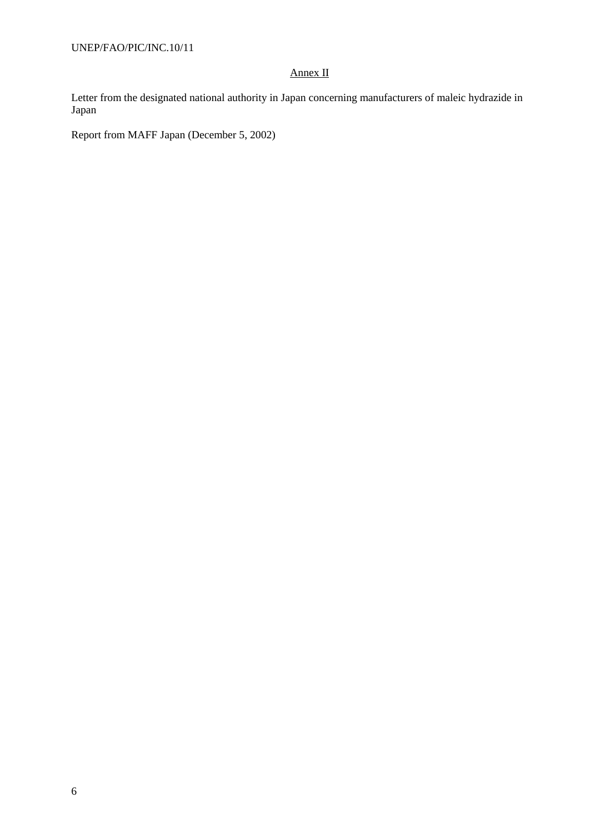UNEP/FAO/PIC/INC.10/11

### Annex II

Letter from the designated national authority in Japan concerning manufacturers of maleic hydrazide in Japan

Report from MAFF Japan (December 5, 2002)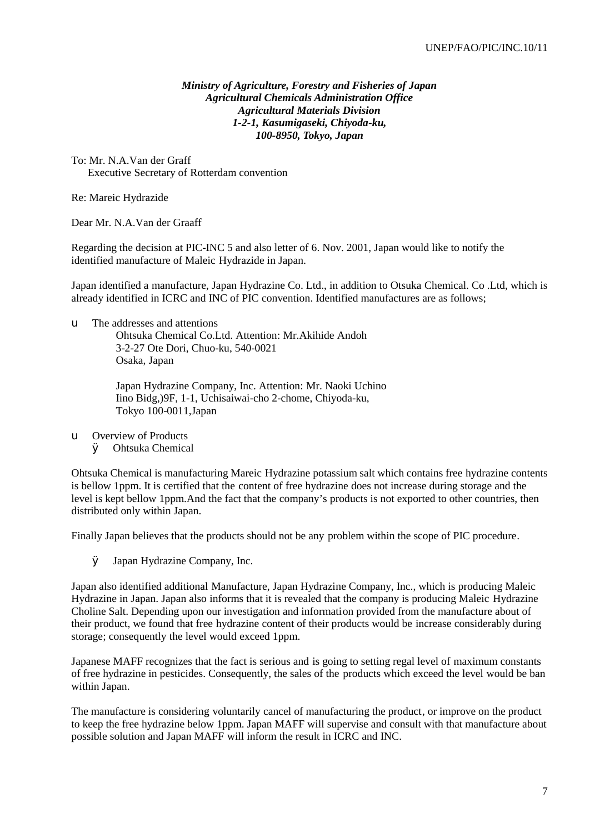#### *Ministry of Agriculture, Forestry and Fisheries of Japan Agricultural Chemicals Administration Office Agricultural Materials Division 1-2-1, Kasumigaseki, Chiyoda-ku, 100-8950, Tokyo, Japan*

To: Mr. N.A.Van der Graff Executive Secretary of Rotterdam convention

Re: Mareic Hydrazide

Dear Mr. N.A.Van der Graaff

Regarding the decision at PIC-INC 5 and also letter of 6. Nov. 2001, Japan would like to notify the identified manufacture of Maleic Hydrazide in Japan.

Japan identified a manufacture, Japan Hydrazine Co. Ltd., in addition to Otsuka Chemical. Co .Ltd, which is already identified in ICRC and INC of PIC convention. Identified manufactures are as follows;

#### u The addresses and attentions

Ohtsuka Chemical Co.Ltd. Attention: Mr.Akihide Andoh 3-2-27 Ote Dori, Chuo-ku, 540-0021 Osaka, Japan

Japan Hydrazine Company, Inc. Attention: Mr. Naoki Uchino Iino Bidg,)9F, 1-1, Uchisaiwai-cho 2-chome, Chiyoda-ku, Tokyo 100-0011,Japan

u Overview of Products

Ø Ohtsuka Chemical

Ohtsuka Chemical is manufacturing Mareic Hydrazine potassium salt which contains free hydrazine contents is bellow 1ppm. It is certified that the content of free hydrazine does not increase during storage and the level is kept bellow 1ppm.And the fact that the company's products is not exported to other countries, then distributed only within Japan.

Finally Japan believes that the products should not be any problem within the scope of PIC procedure.

Ø Japan Hydrazine Company, Inc.

Japan also identified additional Manufacture, Japan Hydrazine Company, Inc., which is producing Maleic Hydrazine in Japan. Japan also informs that it is revealed that the company is producing Maleic Hydrazine Choline Salt. Depending upon our investigation and information provided from the manufacture about of their product, we found that free hydrazine content of their products would be increase considerably during storage; consequently the level would exceed 1ppm.

Japanese MAFF recognizes that the fact is serious and is going to setting regal level of maximum constants of free hydrazine in pesticides. Consequently, the sales of the products which exceed the level would be ban within Japan.

The manufacture is considering voluntarily cancel of manufacturing the product, or improve on the product to keep the free hydrazine below 1ppm. Japan MAFF will supervise and consult with that manufacture about possible solution and Japan MAFF will inform the result in ICRC and INC.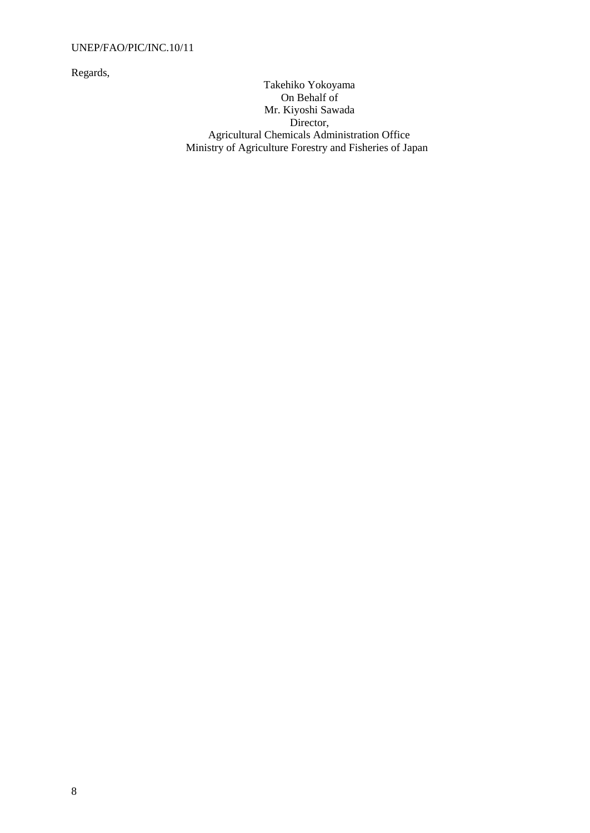#### UNEP/FAO/PIC/INC.10/11

Regards,

Takehiko Yokoyama On Behalf of Mr. Kiyoshi Sawada Director, Agricultural Chemicals Administration Office Ministry of Agriculture Forestry and Fisheries of Japan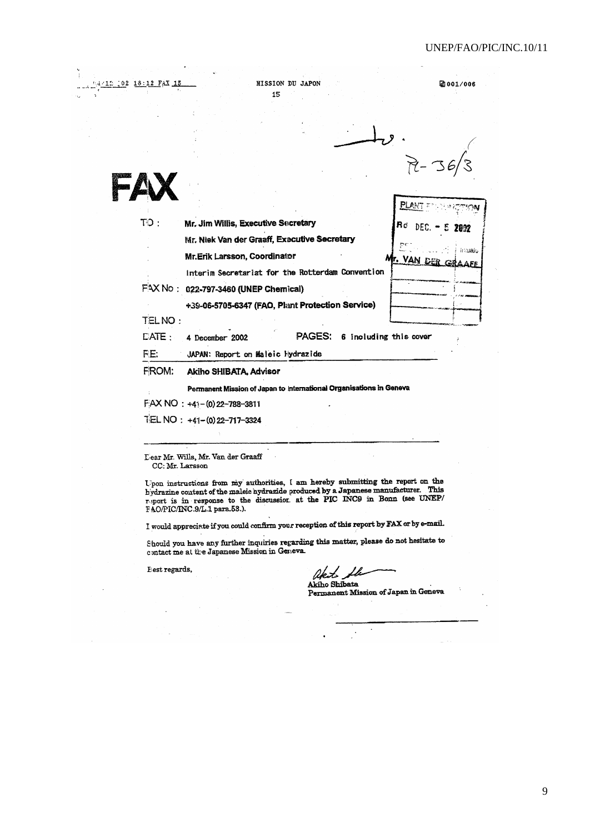2001/006

|                 | +39-06-5705-6347 (FAO, Plant Protection Service)                                    |                          |         |
|-----------------|-------------------------------------------------------------------------------------|--------------------------|---------|
|                 | FAX No: 022-797-3460 (UNEP Chemical)                                                |                          |         |
|                 | Interim Secretariat for the Rotterdam Convention                                    |                          |         |
|                 | Mr.Erik Larsson, Coordinator                                                        | ŗс<br>Mr. VAN DER GRAAEE | inalaks |
| $\mathsf{TO}$ : | Mr. Jim Willis, Executive Secretary<br>Mr. Niek Van der Graaff, Executive Secretary | Rd<br>DEC.               | 5202    |
|                 |                                                                                     | <b>PLAN</b>              |         |

**MISSION DU JAPON** 

15

Lear Mr. Wills, Mr. Van der Graaff CC: Mr. Larsson

TEL NO: +41-(0) 22-717-3324

Upon instructions from my authorities, I am hereby submitting the report on the hydrazine content of the maleic hydrazide produced by a Japanese manufacturer. This report is in response to the discussion at the PIC INC9 i

I would appreciate if you could confirm your reception of this report by FAX or by e-mail.

Should you have any further inquiries regarding this matter, please do not hesitate to contact me at the Japanese Mission in Geneva.

Eest regards,

02 18:12 FAX 15

akt. Lh Akiho Shibata

Permanent Mission of Japan in Geneva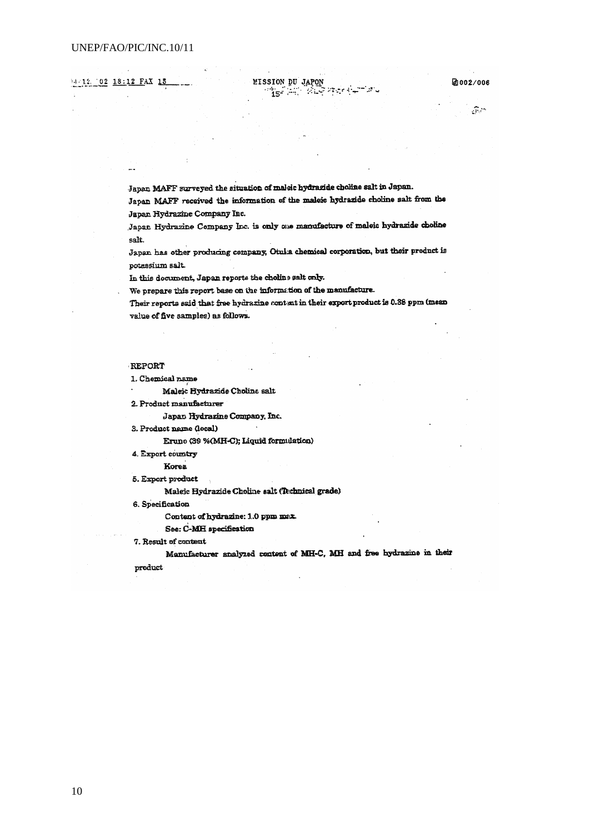#### 14/12 02 18:12 FAX 15

团002/006

 $\mathcal{F}^{(n)}$ 

Japan MAFF surveyed the situation of maleic hydrazide choline salt in Japan.

Japan MAFF received the information of the maleic hydrazide choline salt from the Japan Hydrazine Company Inc.

MISSION DU JAPON

्री के स्थित कर से स्थान के स्थित करने के स्थान करने के स्थान करने के स्थान करने के स्थान करने के स्थान करने क<br>स्थान के स्थान करने के स्थान करने के स्थान करने करने के स्थान करने के स्थान करने के स्थान करने के स्थान करने क

ل التواس

Japan Hydrazine Company Inc. is only one manufacture of maleic hydrazide choline salt.

Japan has other producing company, Otulia chemical corporation, but their product is potassium salt.

In this document, Japan reports the choline salt only.

We prepare this report base on the information of the manufacture.

Their reports said that free hydrazine contant in their export product is 0.38 ppm (mean value of five samples) as follows.

#### **REPORT**

1. Chemical name

Maleic Hydrazide Choline salt

2. Product manufacturer

Japan Hydrazine Company, Inc.

3. Product name (local)

Eruno (39 %(MH-C); Liquid formulation)

4. Export country

Korea

5. Export preduct

Maleic Hydrazide Choline salt (Technical grade)

6. Specification

Content of hydrazine: 1.0 ppm max

See: C-MH specification

7. Result of content

Manufacturer analyzed content of MH-C, MH and free hydrazine in their

product

10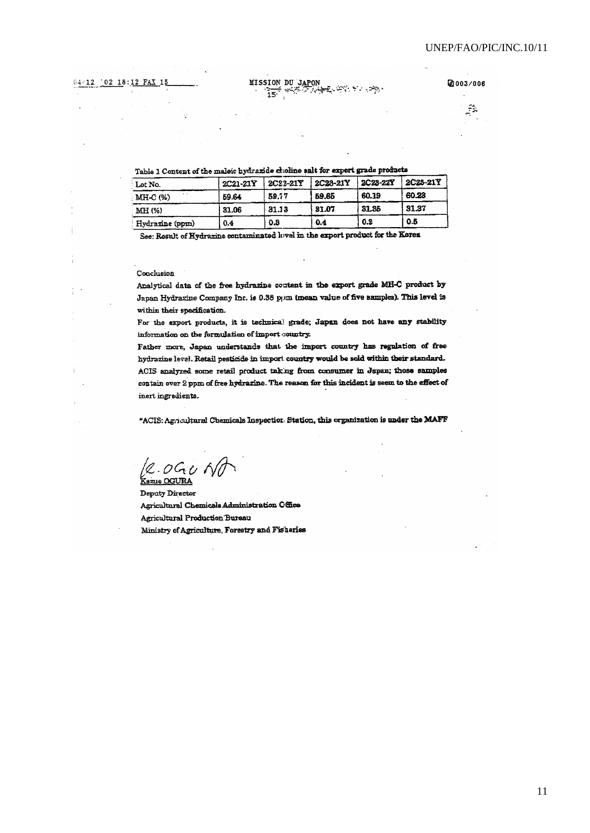**MISSION DU JAPON** أبطحها المتجاراتين  $\frac{1}{15}$   $\frac{1}{15}$ 

2003/006 F.

Table 1 Content of the maleic hydrazide choline salt for export grade products

| Lot No.         | 2C21-21Y | 2C22-21Y | 2C23-21Y | 2C23-22Y | <b>2C25-21Y</b> |
|-----------------|----------|----------|----------|----------|-----------------|
| MHC(%)          | 59.64    | 59.77    | 59.65    | 60.19    | 60.23           |
| MH (%)          | 31.06    | 31.13    | 81.07    | 31.35    | 31.37           |
| Hydrazine (ppm) | 0.4      | 0.3      | 0.4      | 0.2      | 0.5             |

See: Result of Hydrazine contaminated level in the export product for the Korea

#### Conclusion

 $\overline{\phantom{a}}$  .

Analytical data of the free hydrazine content in the export grade MH-C product by Japan Hydrazine Company Inc. is 0.38 ppm (mean value of five samples). This level is within their specification.

For the export products, it is technical grade; Japan does not have any stability information on the formulation of import country.

Father more, Japan understands that the import country has regulation of free hydrazine level. Retail pesticide in import country would be sold within their standard. ACIS analyzed some retail product taking from consumer in Japan; those samples contain over 2 ppm of free hydrazine. The reason for this incident is seem to the effect of inert ingredients.

\*ACIS: Agricultural Chemicals Inspection: Station, this organization is under the MAFF

 $2.0900$ .<br>Kazue OGURA

Deputy Director Agricultural Chemicals Administration Office **Agricultural Production Bureau** Ministry of Agriculture, Forestry and Fisheries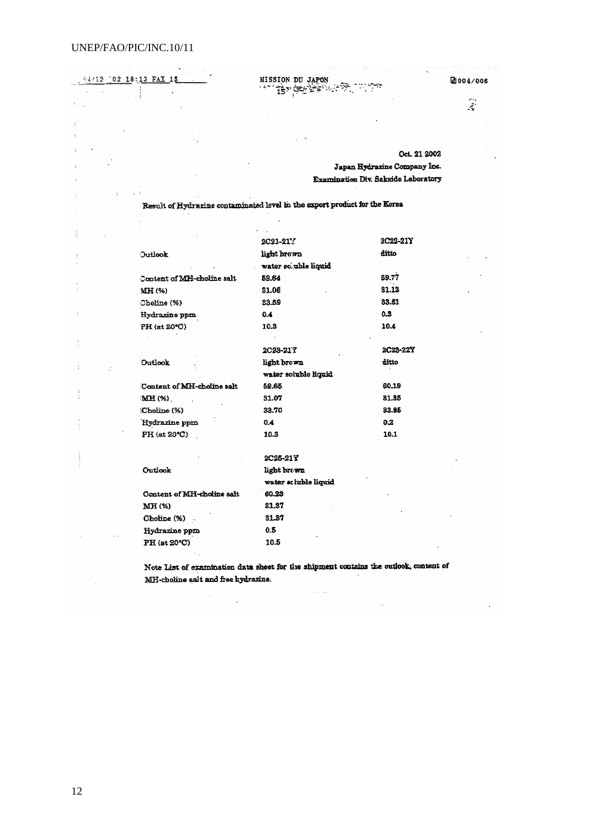MISSION DU JAPON 94/12  $0218:13$  FAX 2004/006  $\mathbf{1}$  $\mathcal{L}_{\mathcal{B}}^{\mathcal{B}}=\left\{ \mathcal{B}_{\mathcal{B}}^{\mathcal{B}}\right\} \mathcal{B}_{\mathcal{B}}^{\mathcal{B}}\left\{ \mathcal{B}_{\mathcal{B}}^{\mathcal{B}}\right\} \mathcal{B}_{\mathcal{B}}^{\mathcal{B}}\left\{ \mathcal{B}_{\mathcal{B}}^{\mathcal{B}}\right\} \mathcal{B}_{\mathcal{B}}^{\mathcal{B}}\left\{ \mathcal{B}_{\mathcal{B}}^{\mathcal{B}}\right\} \mathcal{B}_{\mathcal{B}}^{\mathcal{B}}\left\{ \mathcal{B}_{\mathcal{B}}^$  $\hat{\mathbf{z}}$ Oct. 21 2002 Japan Hydrazine Company Inc. Examination Div. Sakside Laboratory Result of Hydrazine contaminated level in the export product for the Korea 2C21-21Y 2C22-21Y ditto light brown Outlook water so.uble liquid Content of MH-choline salt 59.64 59.77 31.13 MH (%) 31.06 33.61 Choline (%) 33.59 Hydrazine ppm  $0.4$  $0.3$ 10.4 PH (at 20°C) 10.3 2C23-21T 2C23-22Y ditto Outlook light brown water soluble liquid Content of MH-choline salt 59.65 60.19 MH (%) 31.07 81.95 (Choline (%) 33.70 33.85 Hydrazine ppin  $0.4$  $0.2$  $PH$  (at 20 $°C$ ) 10.3 10.1 2C25-21Y Outlook light brown water scluble liquid Content of MH-choline salt 60.23 MH (%) 31.37 31.87 Choline (%) Hydrazine ppm  $0.5$ PH (at 20°C) 10.5

> Note List of examination data sheet for the shipment contains the outlook, content of MH-choline sait and free hydrazine.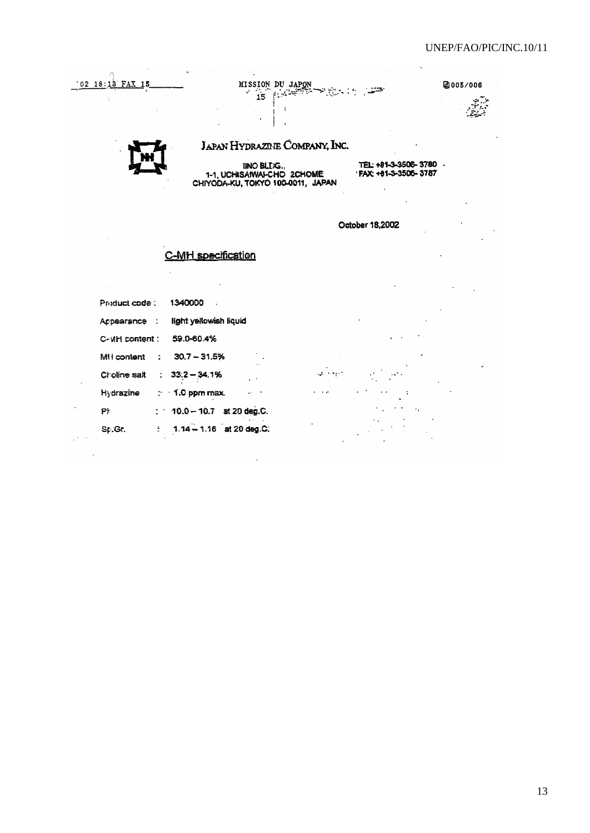@005/006

# 02 18:13 FAX 15

Ψ, MISSION DU JAPON **REACTOR**  $\ddot{\phantom{0}}$ 

## **JAPAN HYDRAZDJE COMPANY, INC.**

INO BLIG.,<br>1-1, UCHISAIWAI-CHO 2CHOME<br>CHIYODA-KU, TOKYO 100-0011, JAPAN

TEL: +81-3-3506-3780 -<br>'FAX: +81-3-3506-3787

 $\ddot{\phantom{a}}$ 

 $\ddot{\phantom{a}}$ 

October 18,2002

متركبات وإرا

## **C-MH** specification

| Preduct code:  | 1340000                      |
|----------------|------------------------------|
| Acpearance :   | light yellowish liquid       |
| C-VIH content: | 59.0-60.4%                   |
| MI i content   | $30.7 - 31.5%$               |
| Choline salt   | $: 33.2 - 34.1%$             |
| Hydrazine      | $\therefore$ 1.0 ppm max.    |
| PF.            | $: 10.0 - 10.7$ at 20 deg.C. |
| Sr.Gr.         | $1.14 - 1.16$ at 20 deg.C.   |

 $\mathbb{R}^4$